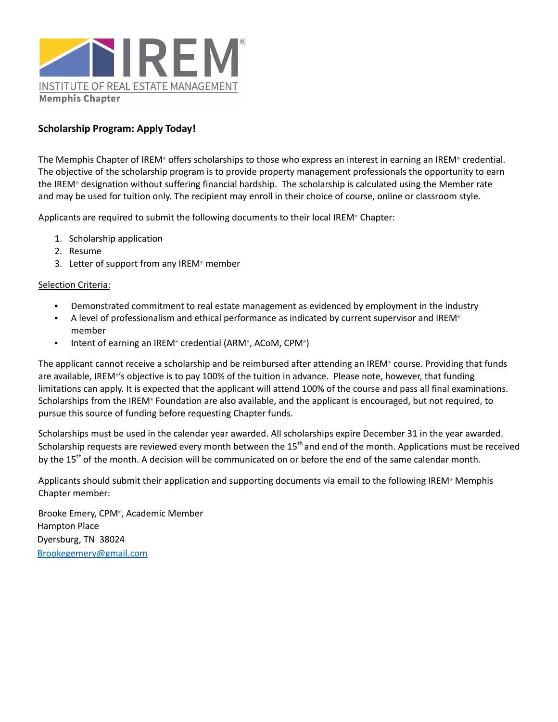

### **Scholarship Program: Apply Today!**

The Memphis Chapter of IREM® offers scholarships to those who express an interest in earning an IREM® credential. The objective of the scholarship program is to provide property management professionals the opportunity to earn the IREM® designation without suffering financial hardship. The scholarship is calculated using the Member rate and may be used for tuition only. The recipient may enroll in their choice of course, online or classroom style.

Applicants are required to submit the following documents to their local IREM® Chapter:

- 1. Scholarship application
- 2. Resume
- 3. Letter of support from any IREM® member

#### Selection Criteria:

- **•** Demonstrated commitment to real estate management as evidenced by employment in the industry
- $\blacksquare$  A level of professionalism and ethical performance as indicated by current supervisor and IREM<sup>®</sup> member
- Intent of earning an IREM® credential (ARM®, ACoM, CPM®)

The applicant cannot receive a scholarship and be reimbursed after attending an IREM® course. Providing that funds are available, IREM® 's objective is to pay 100% of the tuition in advance. Please note, however, that funding limitations can apply. It is expected that the applicant will attend 100% of the course and pass all final examinations. Scholarships from the IREM® Foundation are also available, and the applicant is encouraged, but not required, to pursue this source of funding before requesting Chapter funds.

Scholarships must be used in the calendar year awarded. All scholarships expire December 31 in the year awarded. Scholarship requests are reviewed every month between the 15<sup>th</sup> and end of the month. Applications must be received by the 15<sup>th</sup> of the month. A decision will be communicated on or before the end of the same calendar month.

Applicants should submit their application and supporting documents via email to the following IREM® Memphis Chapter member:

Brooke Emery, CPM® , Academic Member Hampton Place Dyersburg, TN 38024 [Brookegemery@gmail.com](mailto:Brookegemery@gmail.com)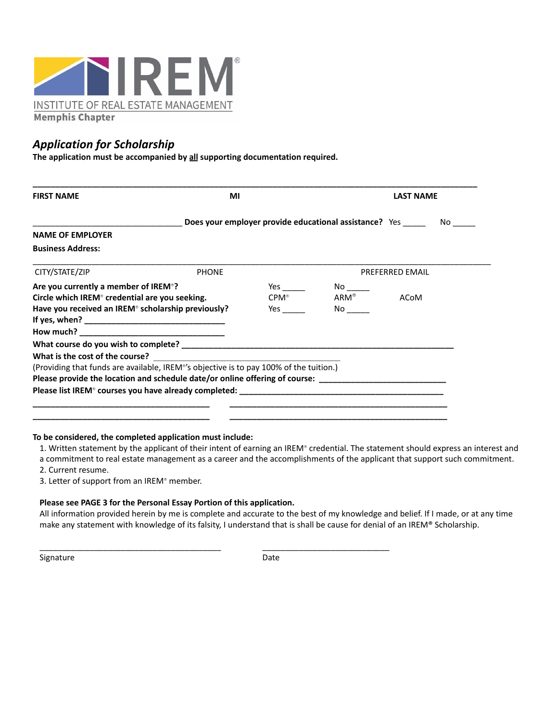

## *Application for Scholarship*

**The application must be accompanied by all supporting documentation required.**

| <b>FIRST NAME</b>                                                                                              | ΜI                                                                                                                    |                                                                                                                                                                                                                                     | <b>LAST NAME</b>                                                                                                                                                                                                               |             |
|----------------------------------------------------------------------------------------------------------------|-----------------------------------------------------------------------------------------------------------------------|-------------------------------------------------------------------------------------------------------------------------------------------------------------------------------------------------------------------------------------|--------------------------------------------------------------------------------------------------------------------------------------------------------------------------------------------------------------------------------|-------------|
|                                                                                                                |                                                                                                                       | Does your employer provide educational assistance? Yes __________________________                                                                                                                                                   |                                                                                                                                                                                                                                |             |
| <b>NAME OF EMPLOYER</b>                                                                                        |                                                                                                                       |                                                                                                                                                                                                                                     |                                                                                                                                                                                                                                |             |
| <b>Business Address:</b>                                                                                       |                                                                                                                       |                                                                                                                                                                                                                                     |                                                                                                                                                                                                                                |             |
| CITY/STATE/ZIP                                                                                                 | <b>PHONE</b>                                                                                                          |                                                                                                                                                                                                                                     | <b>PREFERRED EMAIL</b>                                                                                                                                                                                                         |             |
| Are you currently a member of IREM <sup>®</sup> ?                                                              |                                                                                                                       |                                                                                                                                                                                                                                     |                                                                                                                                                                                                                                |             |
| Circle which IREM <sup>®</sup> credential are you seeking.                                                     |                                                                                                                       | $CPM^*$                                                                                                                                                                                                                             | $ARM^*$                                                                                                                                                                                                                        | <b>ACoM</b> |
| Have you received an IREM <sup>®</sup> scholarship previously?                                                 |                                                                                                                       | <b>Yes</b> and the set of the set of the set of the set of the set of the set of the set of the set of the set of the set of the set of the set of the set of the set of the set of the set of the set of the set of the set of the | No control to the North State of the North State of the North State of the North State of the North State of the North State of the North State of the North State of the North State of the North State of the North State of |             |
|                                                                                                                |                                                                                                                       |                                                                                                                                                                                                                                     |                                                                                                                                                                                                                                |             |
|                                                                                                                |                                                                                                                       |                                                                                                                                                                                                                                     |                                                                                                                                                                                                                                |             |
|                                                                                                                |                                                                                                                       |                                                                                                                                                                                                                                     |                                                                                                                                                                                                                                |             |
| What is the cost of the course?                                                                                | <u> 1989 - Johann Harry Harry Harry Harry Harry Harry Harry Harry Harry Harry Harry Harry Harry Harry Harry Harry</u> |                                                                                                                                                                                                                                     |                                                                                                                                                                                                                                |             |
| (Providing that funds are available, IREM®'s objective is to pay 100% of the tuition.)                         |                                                                                                                       |                                                                                                                                                                                                                                     |                                                                                                                                                                                                                                |             |
| Please provide the location and schedule date/or online offering of course: __________________________________ |                                                                                                                       |                                                                                                                                                                                                                                     |                                                                                                                                                                                                                                |             |
|                                                                                                                |                                                                                                                       |                                                                                                                                                                                                                                     |                                                                                                                                                                                                                                |             |

#### **To be considered, the completed application must include:**

1. Written statement by the applicant of their intent of earning an IREM® credential. The statement should express an interest and

a commitment to real estate management as a career and the accomplishments of the applicant that support such commitment.

2. Current resume.

3. Letter of support from an IREM® member.

#### **Please see PAGE 3 for the Personal Essay Portion of this application.**

\_\_\_\_\_\_\_\_\_\_\_\_\_\_\_\_\_\_\_\_\_\_\_\_\_\_\_\_\_\_\_\_\_\_\_\_\_\_\_\_ \_\_\_\_\_\_\_\_\_\_\_\_\_\_\_\_\_\_\_\_\_\_\_\_\_\_\_\_

All information provided herein by me is complete and accurate to the best of my knowledge and belief. If I made, or at any time make any statement with knowledge of its falsity, I understand that is shall be cause for denial of an IREM® Scholarship.

Signature Date Date